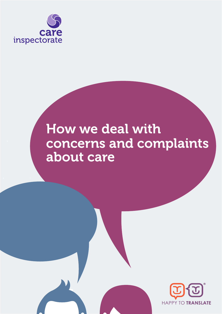

# How we deal with concerns and complaints about care

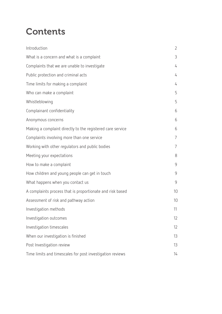## **Contents**

| Introduction                                               | $\overline{2}$ |
|------------------------------------------------------------|----------------|
| What is a concern and what is a complaint                  | 3              |
| Complaints that we are unable to investigate               | 4              |
| Public protection and criminal acts                        | 4              |
| Time limits for making a complaint                         | 4              |
| Who can make a complaint                                   | 5              |
| Whistleblowing                                             | 5              |
| Complainant confidentiality                                | 6              |
| Anonymous concerns                                         | 6              |
| Making a complaint directly to the registered care service | 6              |
| Complaints involving more than one service                 | $\overline{7}$ |
| Working with other regulators and public bodies            | $\overline{7}$ |
| Meeting your expectations                                  | 8              |
| How to make a complaint                                    | $\overline{9}$ |
| How children and young people can get in touch             | $\overline{9}$ |
| What happens when you contact us                           | $\overline{9}$ |
| A complaints process that is proportionate and risk based  | 10             |
| Assessment of risk and pathway action                      | 10             |
| Investigation methods                                      | 11             |
| Investigation outcomes                                     | 12             |
| Investigation timescales                                   | 12             |
| When our investigation is finished                         | 13             |
| Post Investigation review                                  | 13             |
| Time limits and timescales for post investigation reviews  | 14             |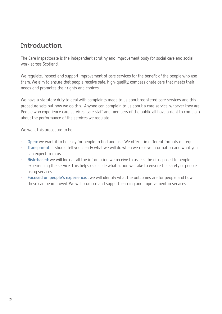### **Introduction**

The Care Inspectorate is the independent scrutiny and improvement body for social care and social work across Scotland.

We regulate, inspect and support improvement of care services for the benefit of the people who use them. We aim to ensure that people receive safe, high-quality, compassionate care that meets their needs and promotes their rights and choices.

We have a statutory duty to deal with complaints made to us about registered care services and this procedure sets out how we do this. Anyone can complain to us about a care service, whoever they are. People who experience care services, care staff and members of the public all have a right to complain about the performance of the services we regulate.

We want this procedure to be:

- **Open:** we want it to be easy for people to find and use. We offer it in different formats on request.
- **Transparent:** it should tell you clearly what we will do when we receive information and what you can expect from us.
- **Risk-based:** we will look at all the information we receive to assess the risks posed to people experiencing the service. This helps us decide what action we take to ensure the safety of people using services.
- **Focused on people's experience:** : we will identify what the outcomes are for people and how these can be improved. We will promote and support learning and improvement in services.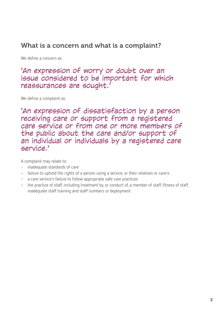### What is a concern and what is a complaint?

We define a concern as:

### 'An expression of worry or doubt over an issue considered to be important for which reassurances are sought.'

We define a complaint as:

'An expression of dissatisfaction by a person receiving care or support from a registered care service or from one or more members of the public about the care and/or support of an individual or individuals by a registered care service.'

A complaint may relate to:

- inadequate standards of care
- failure to uphold the rights of a person using a service, or their relatives or carers
- a care service's failure to follow appropriate safe care practices
- the practice of staff, including treatment by, or conduct of, a member of staff, fitness of staff, inadequate staff training and staff numbers or deployment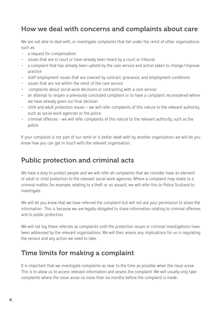### How we deal with concerns and complaints about care

We are not able to deal with, or investigate complaints that fall under the remit of other organisations such as:

- a request for compensation
- issues that are in court or have already been heard by a court or tribunal
- a complaint that has already been upheld by the care service and action taken to change/improve practice
- staff employment issues that are covered by contract, grievance, and employment conditions
- issues that are not within the remit of the care service
- complaints about social work decisions or contracting with a care service
- an attempt to reopen a previously concluded complaint or to have a complaint reconsidered where we have already given our final decision
- child and adult protection issues we will refer complaints of this nature to the relevant authority, such as social work agencies or the police
- criminal offences we will refer complaints of this nature to the relevant authority, such as the police.

If your complaint is not part of our remit or is better dealt with by another organisation, we will let you know how you can get in touch with the relevant organisation.

### Public protection and criminal acts

We have a duty to protect people and we will refer all complaints that we consider have an element of adult or child protection to the relevant social work agencies. Where a complaint may relate to a criminal matter, for example, relating to a theft or an assault, we will refer this to Police Scotland to investigate.

We will let you know that we have referred the complaint but will not ask your permission to share the information. This is because we are legally obligated to share information relating to criminal offences and to public protection.

We will not log these referrals as complaints until the protection issues or criminal investigations have been addressed by the relevant organisations. We will then assess any implications for us in regulating the service and any action we need to take.

### Time limits for making a complaint

It is important that we investigate complaints as near to the time as possible when the issue arose. This is to allow us to access relevant information and assess the complaint. We will usually only take complaints where the issue arose no more than six months before the complaint is made.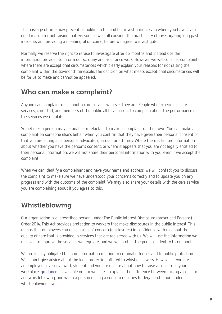The passage of time may prevent us holding a full and fair investigation. Even where you have given good reason for not raising matters sooner, we still consider the practicality of investigating long past incidents and providing a meaningful outcome, before we agree to investigate.

Normally, we reserve the right to refuse to investigate after six months and instead use the information provided to inform our scrutiny and assurance work. However, we will consider complaints where there are exceptional circumstances which clearly explain your reasons for not raising the complaint within the six-month timescale. The decision on what meets exceptional circumstances will be for us to make and cannot be appealed.

### Who can make a complaint?

Anyone can complain to us about a care service, whoever they are. People who experience care services, care staff, and members of the public all have a right to complain about the performance of the services we regulate.

Sometimes a person may be unable or reluctant to make a complaint on their own. You can make a complaint on someone else's behalf when you confirm that they have given their personal consent or that you are acting as a personal advocate, guardian or attorney. Where there is limited information about whether you have the person's consent, or where it appears that you are not legally entitled to their personal information, we will not share their personal information with you, even if we accept the complaint.

When we can identify a complainant and have your name and address, we will contact you to discuss the complaint to make sure we have understood your concerns correctly and to update you on any progress and with the outcome of the complaint. We may also share your details with the care service you are complaining about if you agree to this.

### Whistleblowing

Our organisation is a 'prescribed person' under The Public Interest Disclosure (prescribed Persons) Order 2014. This Act provides protection to workers that make disclosures in the public interest. This means that employees can raise issues of concern (disclosures) in confidence with us about the quality of care that is provided in services that are registered with us. We will use the information we received to improve the services we regulate, and we will protect the person's identity throughout.

We are legally obligated to share information relating to criminal offences and to public protection. We cannot give advice about the legal protection offered to whistle-blowers. However, if you are an employee or a social work student and you are unsure about how to raise a concern in your workplace, **guidance** is available on our website. It explains the difference between raising a concern and whistleblowing, and when a person raising a concern qualifies for legal protection under whistleblowing law.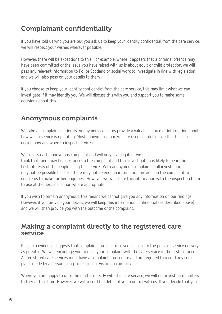### Complainant confidentiality

If you have told us who you are but you ask us to keep your identity confidential from the care service, we will respect your wishes wherever possible.

However, there will be exceptions to this. For example, where it appears that a criminal offence may have been committed or the issue you have raised with us is about adult or child protection, we will pass any relevant information to Police Scotland or social work to investigate in line with legislation and we will also pass on your details to them.

If you choose to keep your identity confidential from the care service, this may limit what we can investigate if it may identify you. We will discuss this with you and support you to make some decisions about this.

### Anonymous complaints

We take all complaints seriously. Anonymous concerns provide a valuable source of information about how well a service is operating. Most anonymous concerns are used as intelligence that helps us decide how and when to inspect services.

We assess each anonymous complaint and will only investigate if we think that there may be substance to the complaint and that investigation is likely to be in the best interests of the people using the service. With anonymous complaints, full investigation may not be possible because there may not be enough information provided in the complaint to enable us to make further enquiries. However, we will share this information with the inspection team to use at the next inspection where appropriate.

If you wish to remain anonymous, this means we cannot give you any information on our findings. However, if you provide your details, we will keep this information confidential (as described above) and we will then provide you with the outcome of the complaint.

### Making a complaint directly to the registered care service

Research evidence suggests that complaints are best resolved as close to the point of service delivery as possible. We will encourage you to raise your complaint with the care service in the first instance. All registered care services must have a complaints procedure and are required to record any complaint made by a person using, accessing, or visiting a care service.

Where you are happy to raise the matter directly with the care service, we will not investigate matters further at that time. However, we will record the detail of your contact with us. If you decide that you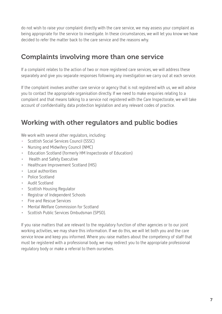do not wish to raise your complaint directly with the care service, we may assess your complaint as being appropriate for the service to investigate. In these circumstances, we will let you know we have decided to refer the matter back to the care service and the reasons why.

### Complaints involving more than one service

If a complaint relates to the action of two or more registered care services, we will address these separately and give you separate responses following any investigation we carry out at each service.

If the complaint involves another care service or agency that is not registered with us, we will advise you to contact the appropriate organisation directly. If we need to make enquiries relating to a complaint and that means talking to a service not registered with the Care Inspectorate, we will take account of confidentiality, data protection legislation and any relevant codes of practice.

### Working with other regulators and public bodies

We work with several other regulators, including:

- Scottish Social Services Council (SSSC)
- Nursing and Midwifery Council (NMC)
- Education Scotland (formerly HM Inspectorate of Education)
- Health and Safety Executive
- Healthcare Improvement Scotland (HIS)
- Local authorities
- Police Scotland
- Audit Scotland
- Scottish Housing Regulator
- Registrar of Independent Schools
- Fire and Rescue Services
- Mental Welfare Commission for Scotland
- Scottish Public Services Ombudsman (SPSO).

If you raise matters that are relevant to the regulatory function of other agencies or to our joint working activities, we may share this information. If we do this, we will let both you and the care service know and keep you informed. Where you raise matters about the competency of staff that must be registered with a professional body, we may redirect you to the appropriate professional regulatory body or make a referral to them ourselves.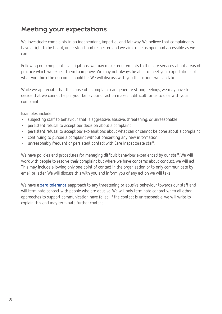### Meeting your expectations

We investigate complaints in an independent, impartial, and fair way. We believe that complainants have a right to be heard, understood, and respected and we aim to be as open and accessible as we can.

Following our complaint investigations, we may make requirements to the care services about areas of practice which we expect them to improve. We may not always be able to meet your expectations of what you think the outcome should be. We will discuss with you the actions we can take.

While we appreciate that the cause of a complaint can generate strong feelings, we may have to decide that we cannot help if your behaviour or action makes it difficult for us to deal with your complaint.

Examples include:

- subjecting staff to behaviour that is aggressive, abusive, threatening, or unreasonable
- persistent refusal to accept our decision about a complaint
- persistent refusal to accept our explanations about what can or cannot be done about a complaint
- continuing to pursue a complaint without presenting any new information
- unreasonably frequent or persistent contact with Care Inspectorate staff.

We have policies and procedures for managing difficult behaviour experienced by our staff. We will work with people to resolve their complaint but where we have concerns about conduct, we will act. This may include allowing only one point of contact in the organisation or to only communicate by email or letter. We will discuss this with you and inform you of any action we will take.

We have a **zero tolerance** aapproach to any threatening or abusive behaviour towards our staff and will terminate contact with people who are abusive. We will only terminate contact when all other approaches to support communication have failed. If the contact is unreasonable, we will write to explain this and may terminate further contact.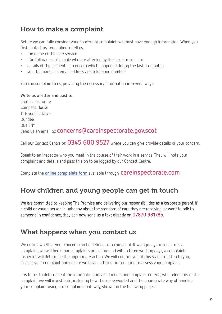### How to make a complaint

Before we can fully consider your concern or complaint, we must have enough information. When you first contact us, remember to tell us:

- the name of the care service
- the full names of people who are affected by the issue or concern
- details of the incidents or concern which happened during the last six months
- your full name, an email address and telephone number.

You can complain to us, providing the necessary information in several ways:

**Write us a letter and post to:**  Care Inspectorate Compass House 11 Riverside Drive Dundee DD1 4NY Send us an email to: **concerns@careinspectorate.gov.scot** 

Call our Contact Centre on **0345 600 9527** where you can give provide details of your concern.

Speak to an inspector who you meet in the course of their work in a service. They will note your complaint and details and pass this on to be logged by our Contact Centre.

Complete the **online complaints form** available through **careinspectorate.com**

### How children and young people can get in touch

We are committed to keeping The Promise and delivering our responsibilities as a corporate parent. If a child or young person is unhappy about the standard of care they are receiving, or want to talk to someone in confidence, they can now send us a text directly on **07870 981785**.

### What happens when you contact us

We decide whether your concern can be defined as a complaint. If we agree your concern is a complaint, we will begin our complaints procedure and within three working days, a complaints inspector will determine the appropriate action. We will contact you at this stage to listen to you, discuss your complaint and ensure we have sufficient information to assess your complaint.

It is for us to determine if the information provided meets our complaint criteria, what elements of the complaint we will investigate, including how these are worded and the appropriate way of handling your complaint using our complaints pathway, shown on the following pages.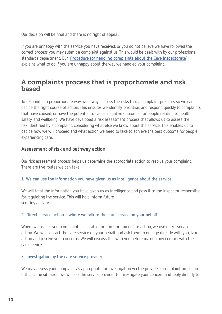Our decision will be final and there is no right of appeal.

If you are unhappy with the service you have received, or you do not believe we have followed the correct process you may submit a complaint against us. This would be dealt with by our professional standards department. Our '**Procedure for handling complaints about the Care Inspectorate**' explains what to do if you are unhappy about the way we handled your complaint.

### A complaints process that is proportionate and risk based

To respond in a proportionate way, we always assess the risks that a complaint presents so we can decide the right course of action. This ensures we identify, prioritise, and respond quickly to complaints that have caused, or have the potential to cause, negative outcomes for people relating to health, safety, and wellbeing. We have developed a risk assessment process that allows us to assess the risk identified by a complaint, considering what else we know about the service. This enables us to decide how we will proceed and what action we need to take to achieve the best outcome for people experiencing care.

#### **Assessment of risk and pathway action**

Our risk assessment process helps us determine the appropriate action to resolve your complaint. There are five routes we can take.

#### **1. We can use the information you have given us as intelligence about the service**

We will treat the information you have given us as intelligence and pass it to the inspector responsible for regulating the service. This will help inform future scrutiny activity.

#### **2. Direct service action – where we talk to the care service on your behalf**

Where we assess your complaint as suitable for quick or immediate action, we use direct service action. We will contact the care service on your behalf and ask them to engage directly with you, take action and resolve your concerns. We will discuss this with you before making any contact with the care service.

#### **3. Investigation by the care service provider**

We may assess your complaint as appropriate for investigation via the provider's complaint procedure. If this is the situation, we will ask the service provider to investigate your concern and reply directly to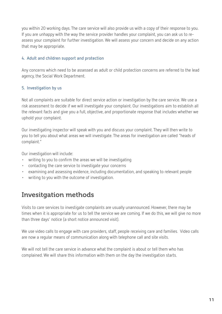you within 20 working days. The care service will also provide us with a copy of their response to you. If you are unhappy with the way the service provider handles your complaint, you can ask us to reassess your complaint for further investigation. We will assess your concern and decide on any action that may be appropriate.

#### **4. Adult and children support and protection**

Any concerns which need to be assessed as adult or child protection concerns are referred to the lead agency, the Social Work Department.

#### **5. Investigation by us**

Not all complaints are suitable for direct service action or investigation by the care service. We use a risk assessment to decide if we will investigate your complaint. Our investigations aim to establish all the relevant facts and give you a full, objective, and proportionate response that includes whether we uphold your complaint.

Our investigating inspector will speak with you and discuss your complaint. They will then write to you to tell you about what areas we will investigate. The areas for investigation are called "heads of complaint."

Our investigation will include:

- writing to you to confirm the areas we will be investigating
- contacting the care service to investigate your concerns
- examining and assessing evidence, including documentation, and speaking to relevant people
- writing to you with the outcome of investigation.

### Invesitgation methods

Visits to care services to investigate complaints are usually unannounced. However, there may be times when it is appropriate for us to tell the service we are coming. If we do this, we will give no more than three days' notice (a short notice announced visit).

We use video calls to engage with care providers, staff, people receiving care and families. Video calls are now a regular means of communication along with telephone call and site visits.

We will not tell the care service in advance what the complaint is about or tell them who has complained. We will share this information with them on the day the investigation starts.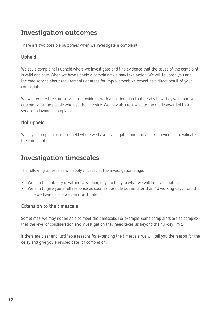### Investigation outcomes

There are two possible outcomes when we investigate a complaint.

#### **Upheld**

We say a complaint is upheld where we investigate and find evidence that the cause of the complaint is valid and true. When we have upheld a complaint; we may take action. We will tell both you and the care service about requirements or areas for improvement we expect as a direct result of your complaint.

We will require the care service to provide us with an action plan that details how they will improve outcomes for the people who use their service. We may also re-evaluate the grade awarded to a service following a complaint.

#### **Not upheld**

We say a complaint is not upheld where we have investigated and find a lack of evidence to validate the complaint.

### Investigation timescales

The following timescales will apply to cases at the investigation stage.

- We aim to contact you within 10 working days to tell you what we will be investigating.
- We aim to give you a full response as soon as possible but no later than 40 working days from the time we have decide we can investigate.

#### **Extension to the timescale**

Sometimes, we may not be able to meet the timescale. For example, some complaints are so complex that the level of consideration and investigation they need takes us beyond the 40-day limit.

If there are clear and justifiable reasons for extending the timescale, we will tell you the reason for the delay and give you a revised date for completion.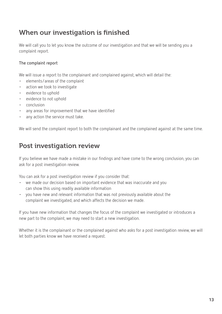### When our investigation is finished

We will call you to let you know the outcome of our investigation and that we will be sending you a complaint report.

#### **The complaint report**

We will issue a report to the complainant and complained against, which will detail the:

- elements/areas of the complaint
- action we took to investigate
- evidence to uphold
- evidence to not uphold
- conclusion
- any areas for improvement that we have identified
- any action the service must take.

We will send the complaint report to both the complainant and the complained against at the same time.

### Post investigation review

If you believe we have made a mistake in our findings and have come to the wrong conclusion, you can ask for a post investigation review.

You can ask for a post investigation review if you consider that:

- we made our decision based on important evidence that was inaccurate and you can show this using readily available information
- you have new and relevant information that was not previously available about the complaint we investigated, and which affects the decision we made.

If you have new information that changes the focus of the complaint we investigated or introduces a new part to the complaint, we may need to start a new investigation.

Whether it is the complainant or the complained against who asks for a post investigation review, we will let both parties know we have received a request.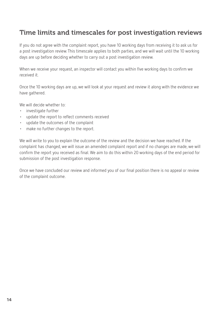### Time limits and timescales for post investigation reviews

If you do not agree with the complaint report, you have 10 working days from receiving it to ask us for a post investigation review. This timescale applies to both parties, and we will wait until the 10 working days are up before deciding whether to carry out a post investigation review.

When we receive your request, an inspector will contact you within five working days to confirm we received it.

Once the 10 working days are up, we will look at your request and review it along with the evidence we have gathered.

We will decide whether to:

- investigate further
- update the report to reflect comments received
- update the outcomes of the complaint
- make no further changes to the report.

We will write to you to explain the outcome of the review and the decision we have reached. If the complaint has changed, we will issue an amended complaint report and if no changes are made, we will confirm the report you received as final. We aim to do this within 20 working days of the end period for submission of the post investigation response.

Once we have concluded our review and informed you of our final position there is no appeal or review of the complaint outcome.